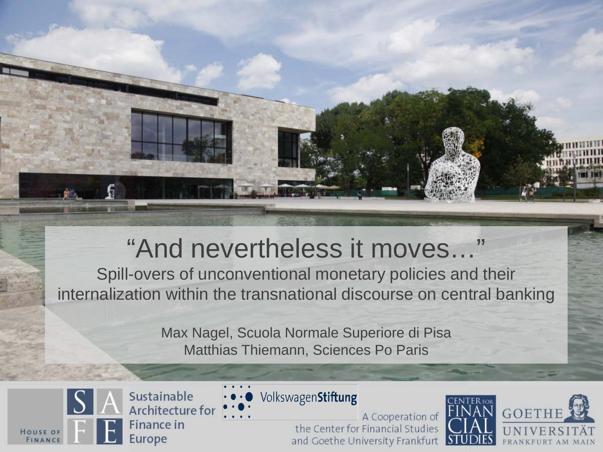### "And nevertheless it moves…"

Spill-overs of unconventional monetary policies and their internalization within the transnational discourse on central banking

> Max Nagel, Scuola Normale Superiore di Pisa Matthias Thiemann, Sciences Po Paris



Sustainable Architecture for **Finance in** Europe



VolkswagenStiftung

A Cooperation of the Center for Financial Studies and Goethe University Frankfurt

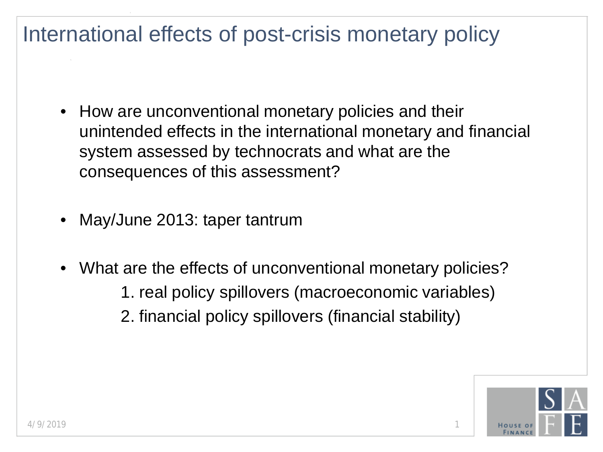#### International effects of post-crisis monetary policy

- How are unconventional monetary policies and their unintended effects in the international monetary and financial system assessed by technocrats and what are the consequences of this assessment?
- May/June 2013: taper tantrum
- What are the effects of unconventional monetary policies?
	- 1. real policy spillovers (macroeconomic variables)
	- 2. financial policy spillovers (financial stability)

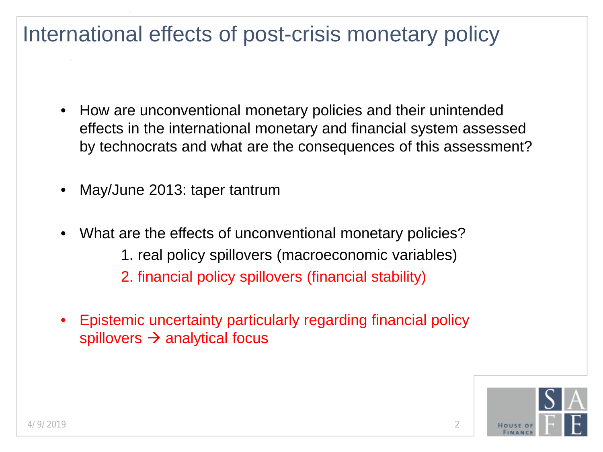#### International effects of post-crisis monetary policy

- How are unconventional monetary policies and their unintended effects in the international monetary and financial system assessed by technocrats and what are the consequences of this assessment?
- May/June 2013: taper tantrum
- What are the effects of unconventional monetary policies? 1. real policy spillovers (macroeconomic variables) 2. financial policy spillovers (financial stability)
- Epistemic uncertainty particularly regarding financial policy spillovers  $\rightarrow$  analytical focus

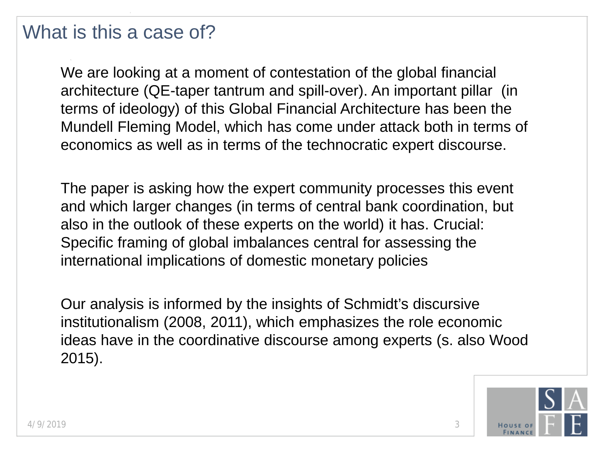#### What is this a case of?

We are looking at a moment of contestation of the global financial architecture (QE-taper tantrum and spill-over). An important pillar (in terms of ideology) of this Global Financial Architecture has been the Mundell Fleming Model, which has come under attack both in terms of economics as well as in terms of the technocratic expert discourse.

The paper is asking how the expert community processes this event and which larger changes (in terms of central bank coordination, but also in the outlook of these experts on the world) it has. Crucial: Specific framing of global imbalances central for assessing the international implications of domestic monetary policies

Our analysis is informed by the insights of Schmidt's discursive institutionalism (2008, 2011), which emphasizes the role economic ideas have in the coordinative discourse among experts (s. also Wood 2015).

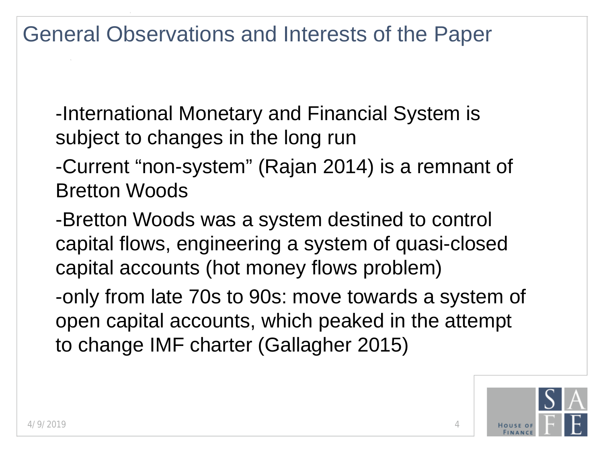General Observations and Interests of the Paper

-International Monetary and Financial System is subject to changes in the long run

-Current "non-system" (Rajan 2014) is a remnant of Bretton Woods

-Bretton Woods was a system destined to control capital flows, engineering a system of quasi-closed capital accounts (hot money flows problem)

-only from late 70s to 90s: move towards a system of open capital accounts, which peaked in the attempt to change IMF charter (Gallagher 2015)

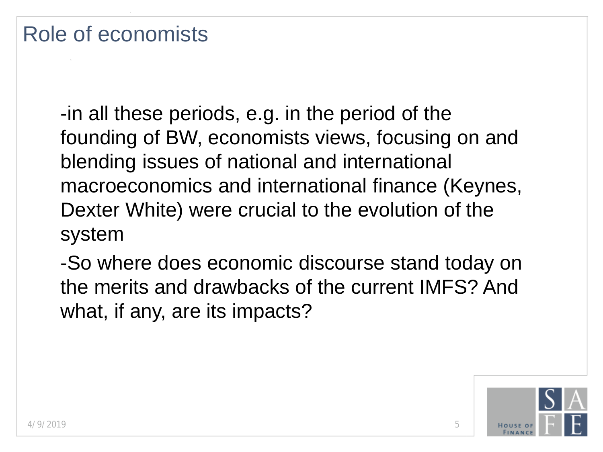-in all these periods, e.g. in the period of the founding of BW, economists views, focusing on and blending issues of national and international macroeconomics and international finance (Keynes, Dexter White) were crucial to the evolution of the system

-So where does economic discourse stand today on the merits and drawbacks of the current IMFS? And what, if any, are its impacts?

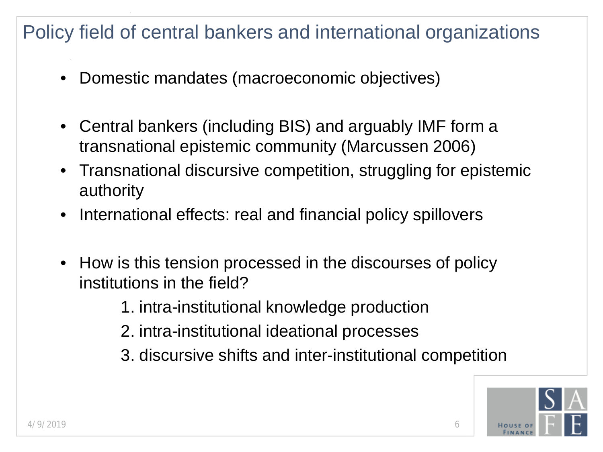#### Policy field of central bankers and international organizations

- Domestic mandates (macroeconomic objectives)
- Central bankers (including BIS) and arguably IMF form a transnational epistemic community (Marcussen 2006)
- Transnational discursive competition, struggling for epistemic authority
- International effects: real and financial policy spillovers
- How is this tension processed in the discourses of policy institutions in the field?

1. intra-institutional knowledge production

- 2. intra-institutional ideational processes
- 3. discursive shifts and inter-institutional competition

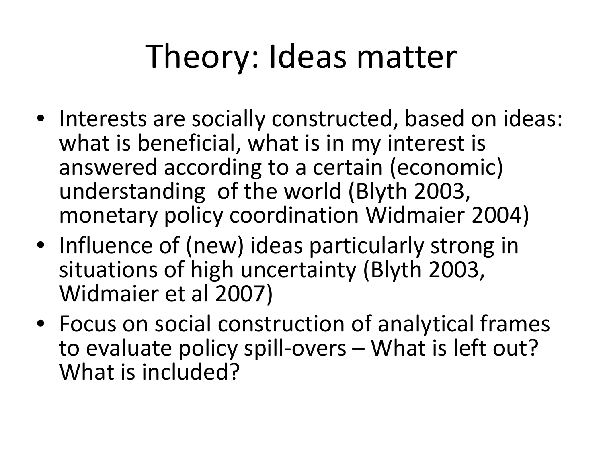### Theory: Ideas matter

- Interests are socially constructed, based on ideas: what is beneficial, what is in my interest is answered according to a certain (economic) understanding of the world (Blyth 2003, monetary policy coordination Widmaier 2004)
- Influence of (new) ideas particularly strong in situations of high uncertainty (Blyth 2003, Widmaier et al 2007)
- Focus on social construction of analytical frames to evaluate policy spill-overs – What is left out? What is included?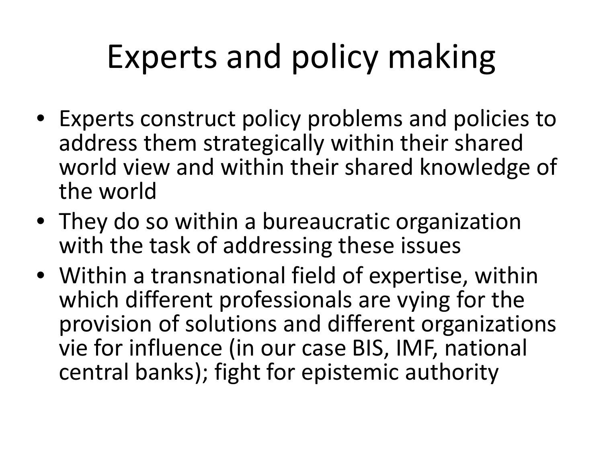### Experts and policy making

- Experts construct policy problems and policies to address them strategically within their shared world view and within their shared knowledge of the world
- They do so within a bureaucratic organization with the task of addressing these issues
- Within a transnational field of expertise, within which different professionals are vying for the provision of solutions and different organizations vie for influence (in our case BIS, IMF, national central banks); fight for epistemic authority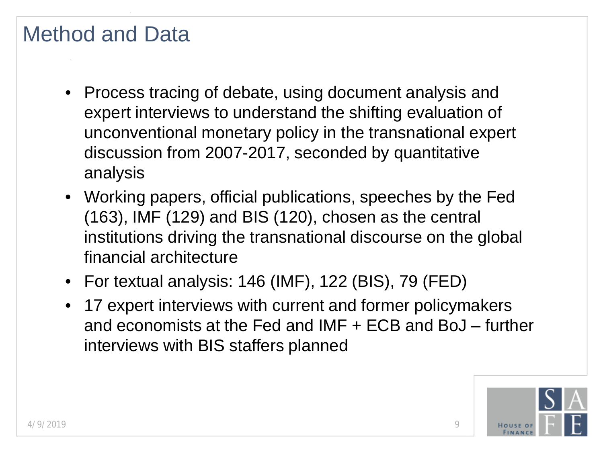#### Method and Data

- Process tracing of debate, using document analysis and expert interviews to understand the shifting evaluation of unconventional monetary policy in the transnational expert discussion from 2007-2017, seconded by quantitative analysis
- Working papers, official publications, speeches by the Fed (163), IMF (129) and BIS (120), chosen as the central institutions driving the transnational discourse on the global financial architecture
- For textual analysis: 146 (IMF), 122 (BIS), 79 (FED)
- 17 expert interviews with current and former policymakers and economists at the Fed and IMF + ECB and BoJ – further interviews with BIS staffers planned

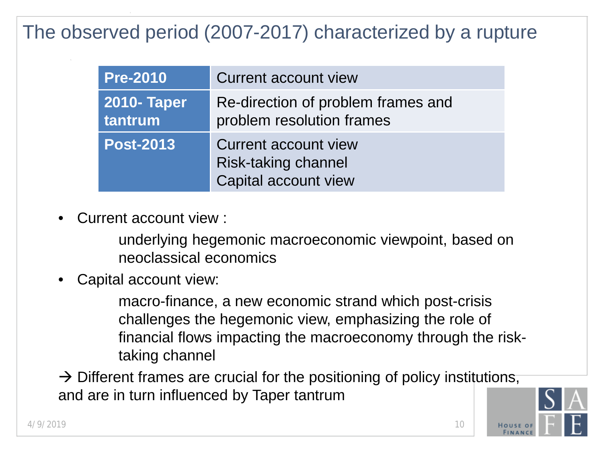#### The observed period (2007-2017) characterized by a rupture

| <b>Pre-2010</b>               | <b>Current account view</b>                                                |
|-------------------------------|----------------------------------------------------------------------------|
| <b>2010- Taper</b><br>tantrum | Re-direction of problem frames and<br>problem resolution frames            |
| <b>Post-2013</b>              | Current account view<br><b>Risk-taking channel</b><br>Capital account view |

• Current account view :

underlying hegemonic macroeconomic viewpoint, based on neoclassical economics

Capital account view:

macro-finance, a new economic strand which post-crisis challenges the hegemonic view, emphasizing the role of financial flows impacting the macroeconomy through the risktaking channel

 $\rightarrow$  Different frames are crucial for the positioning of policy institutions, and are in turn influenced by Taper tantrum

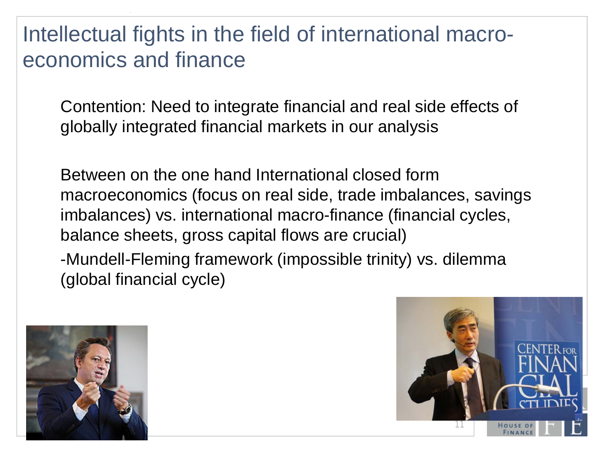Intellectual fights in the field of international macroeconomics and finance

Contention: Need to integrate financial and real side effects of globally integrated financial markets in our analysis

Between on the one hand International closed form macroeconomics (focus on real side, trade imbalances, savings imbalances) vs. international macro-finance (financial cycles, balance sheets, gross capital flows are crucial) -Mundell-Fleming framework (impossible trinity) vs. dilemma (global financial cycle)



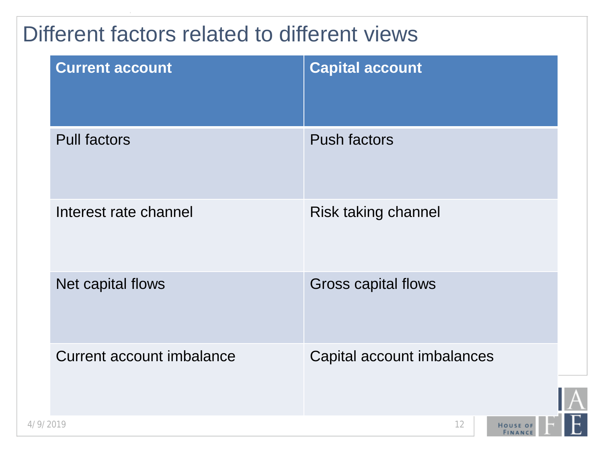### Different factors related to different views

| <b>Current account</b>           | <b>Capital account</b>     |
|----------------------------------|----------------------------|
| <b>Pull factors</b>              | <b>Push factors</b>        |
| Interest rate channel            | Risk taking channel        |
| Net capital flows                | <b>Gross capital flows</b> |
| <b>Current account imbalance</b> | Capital account imbalances |
| 4/9/2019                         | 12<br><b>HOUSE OF</b>      |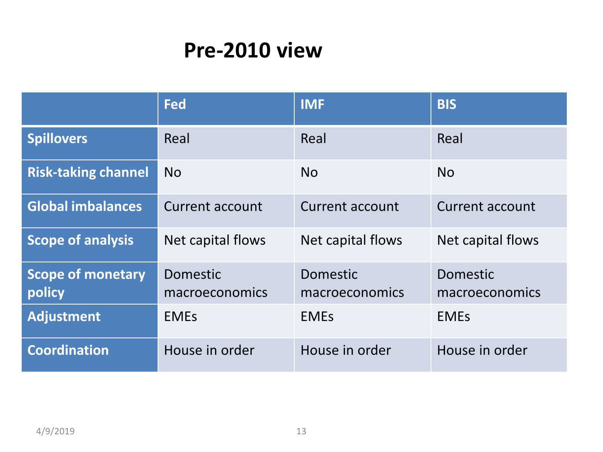### **Pre-2010 view**

|                                    | <b>Fed</b>                 | <b>IMF</b>                        | <b>BIS</b>                 |
|------------------------------------|----------------------------|-----------------------------------|----------------------------|
| <b>Spillovers</b>                  | Real                       | Real                              | Real                       |
| <b>Risk-taking channel</b>         | <b>No</b>                  | <b>No</b>                         | <b>No</b>                  |
| <b>Global imbalances</b>           | Current account            | <b>Current account</b>            | <b>Current account</b>     |
| <b>Scope of analysis</b>           | Net capital flows          | Net capital flows                 | Net capital flows          |
| <b>Scope of monetary</b><br>policy | Domestic<br>macroeconomics | <b>Domestic</b><br>macroeconomics | Domestic<br>macroeconomics |
| <b>Adjustment</b>                  | <b>EMES</b>                | <b>EMES</b>                       | <b>EMES</b>                |
| <b>Coordination</b>                | House in order             | House in order                    | House in order             |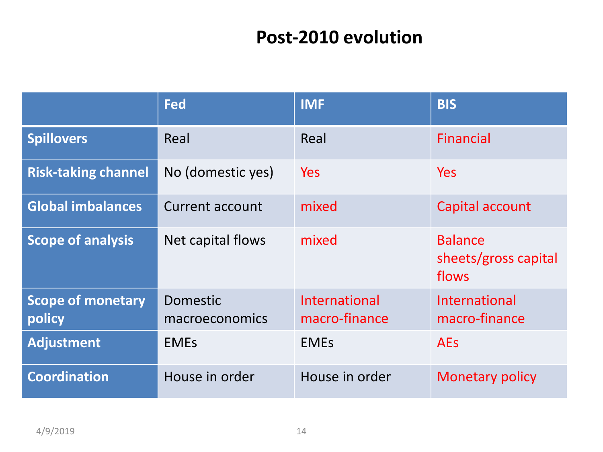#### **Post-2010 evolution**

|                                    | Fed                               | <b>IMF</b>                     | <b>BIS</b>                                      |
|------------------------------------|-----------------------------------|--------------------------------|-------------------------------------------------|
| <b>Spillovers</b>                  | Real                              | Real                           | <b>Financial</b>                                |
| <b>Risk-taking channel</b>         | No (domestic yes)                 | <b>Yes</b>                     | <b>Yes</b>                                      |
| <b>Global imbalances</b>           | <b>Current account</b>            | mixed                          | Capital account                                 |
| <b>Scope of analysis</b>           | Net capital flows                 | mixed                          | <b>Balance</b><br>sheets/gross capital<br>flows |
| <b>Scope of monetary</b><br>policy | <b>Domestic</b><br>macroeconomics | International<br>macro-finance | <b>International</b><br>macro-finance           |
| <b>Adjustment</b>                  | <b>EMES</b>                       | <b>EMES</b>                    | <b>AEs</b>                                      |
| <b>Coordination</b>                | House in order                    | House in order                 | <b>Monetary policy</b>                          |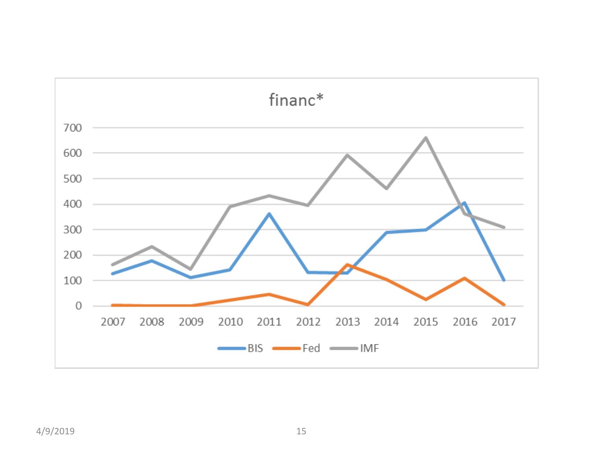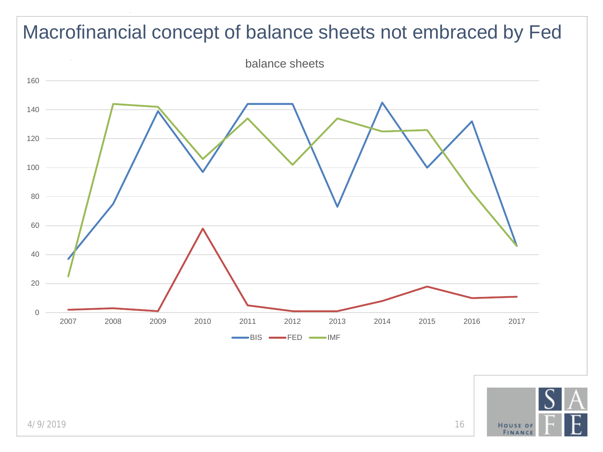

4/9/2019 16

**HOUSE OF**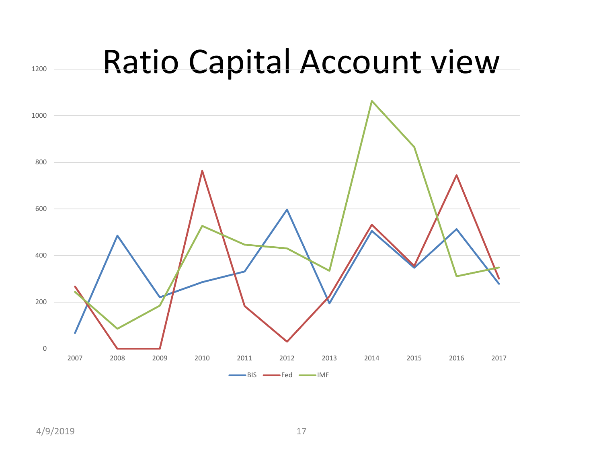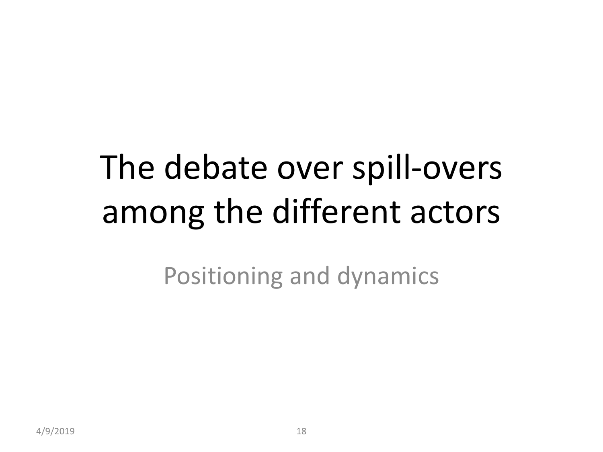## The debate over spill-overs among the different actors

Positioning and dynamics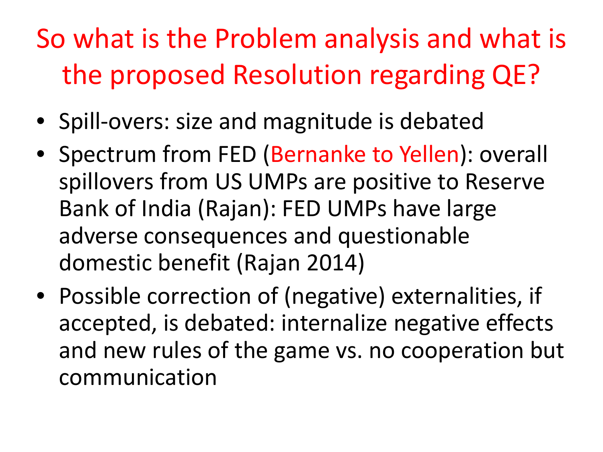### So what is the Problem analysis and what is the proposed Resolution regarding QE?

- Spill-overs: size and magnitude is debated
- Spectrum from FED (Bernanke to Yellen): overall spillovers from US UMPs are positive to Reserve Bank of India (Rajan): FED UMPs have large adverse consequences and questionable domestic benefit (Rajan 2014)
- Possible correction of (negative) externalities, if accepted, is debated: internalize negative effects and new rules of the game vs. no cooperation but communication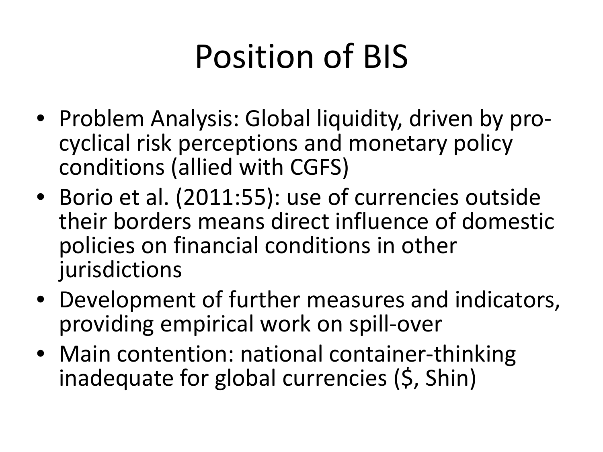## Position of BIS

- Problem Analysis: Global liquidity, driven by pro- cyclical risk perceptions and monetary policy conditions (allied with CGFS)
- Borio et al. (2011:55): use of currencies outside their borders means direct influence of domestic policies on financial conditions in other jurisdictions
- Development of further measures and indicators, providing empirical work on spill-over
- Main contention: national container-thinking inadequate for global currencies (\$, Shin)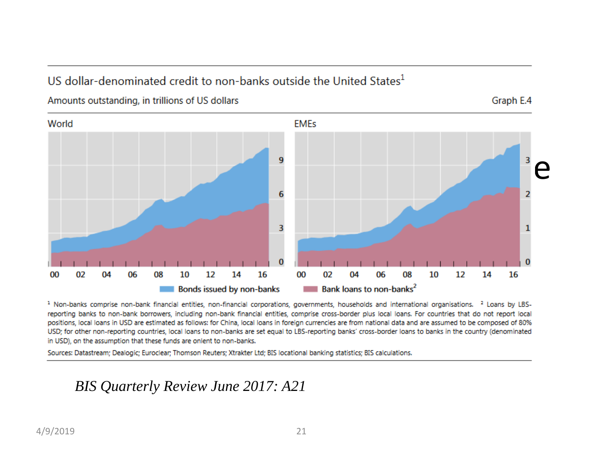#### US dollar-denominated credit to non-banks outside the United States $<sup>1</sup>$ </sup>

Amounts outstanding, in trillions of US dollars

Graph E.4



<sup>1</sup> Non-banks comprise non-bank financial entities, non-financial corporations, governments, households and international organisations.<sup>2</sup> Loans by LBSreporting banks to non-bank borrowers, including non-bank financial entities, comprise cross-border plus local loans. For countries that do not report local positions, local loans in USD are estimated as follows: for China, local loans in foreign currencies are from national data and are assumed to be composed of 80% USD; for other non-reporting countries, local loans to non-banks are set equal to LBS-reporting banks' cross-border loans to banks in the country (denominated in USD), on the assumption that these funds are onlent to non-banks.

Sources: Datastream; Dealogic; Euroclear; Thomson Reuters; Xtrakter Ltd; BIS locational banking statistics; BIS calculations.

#### *BIS Quarterly Review June 2017: A21*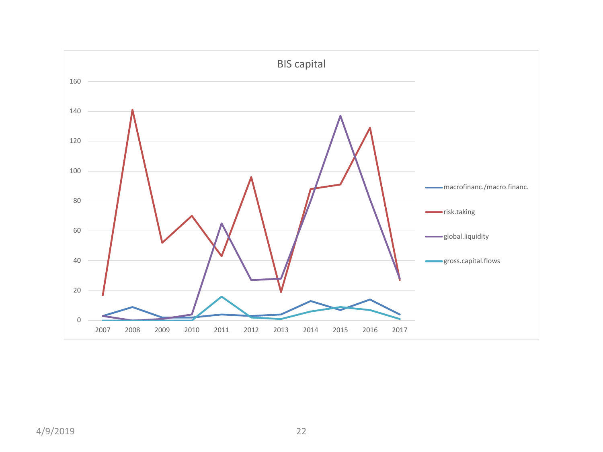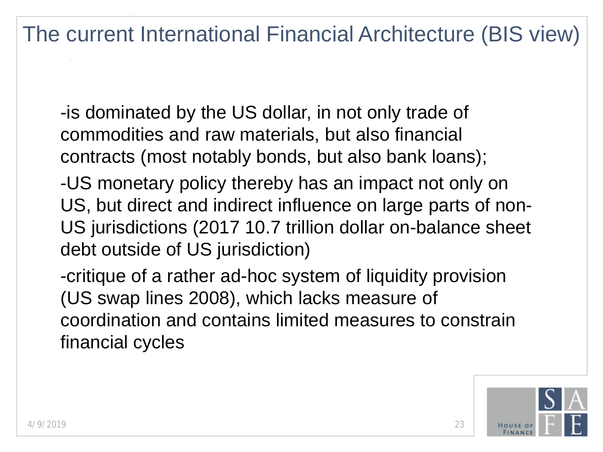The current International Financial Architecture (BIS view)

-is dominated by the US dollar, in not only trade of commodities and raw materials, but also financial contracts (most notably bonds, but also bank loans);

-US monetary policy thereby has an impact not only on US, but direct and indirect influence on large parts of non-US jurisdictions (2017 10.7 trillion dollar on-balance sheet debt outside of US jurisdiction)

-critique of a rather ad-hoc system of liquidity provision (US swap lines 2008), which lacks measure of coordination and contains limited measures to constrain financial cycles

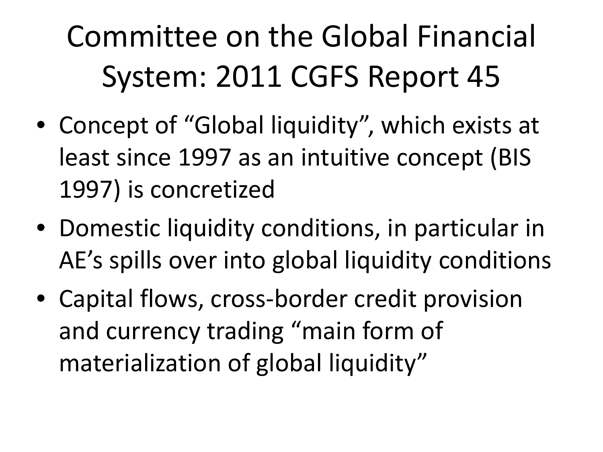### Committee on the Global Financial System: 2011 CGFS Report 45

- Concept of "Global liquidity", which exists at least since 1997 as an intuitive concept (BIS 1997) is concretized
- Domestic liquidity conditions, in particular in AE's spills over into global liquidity conditions
- Capital flows, cross-border credit provision and currency trading "main form of materialization of global liquidity"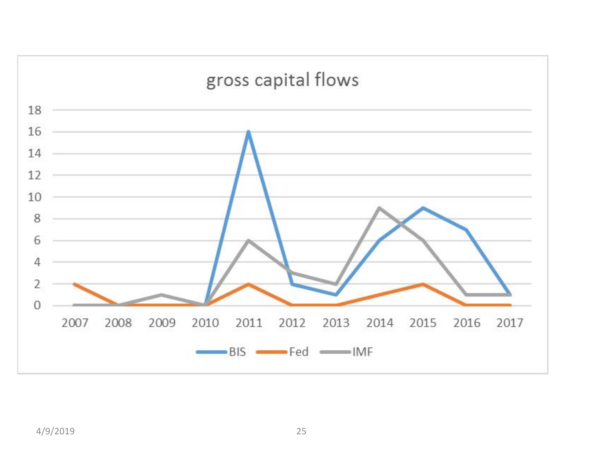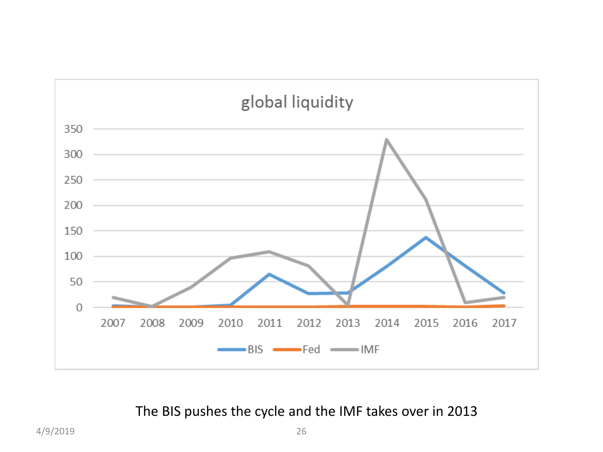

The BIS pushes the cycle and the IMF takes over in 2013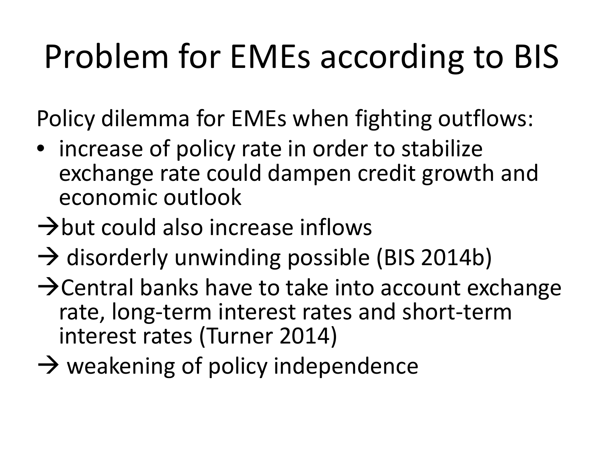## Problem for EMEs according to BIS

Policy dilemma for EMEs when fighting outflows:

- increase of policy rate in order to stabilize exchange rate could dampen credit growth and economic outlook
- $\rightarrow$ but could also increase inflows
- $\rightarrow$  disorderly unwinding possible (BIS 2014b)
- $\rightarrow$  Central banks have to take into account exchange rate, long-term interest rates and short-term interest rates (Turner 2014)
- $\rightarrow$  weakening of policy independence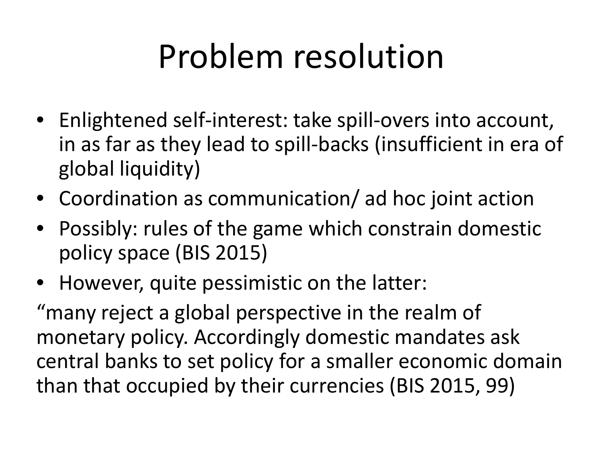### Problem resolution

- Enlightened self-interest: take spill-overs into account, in as far as they lead to spill-backs (insufficient in era of global liquidity)
- Coordination as communication/ ad hoc joint action
- Possibly: rules of the game which constrain domestic policy space (BIS 2015)
- However, quite pessimistic on the latter:

"many reject a global perspective in the realm of monetary policy. Accordingly domestic mandates ask central banks to set policy for a smaller economic domain than that occupied by their currencies (BIS 2015, 99)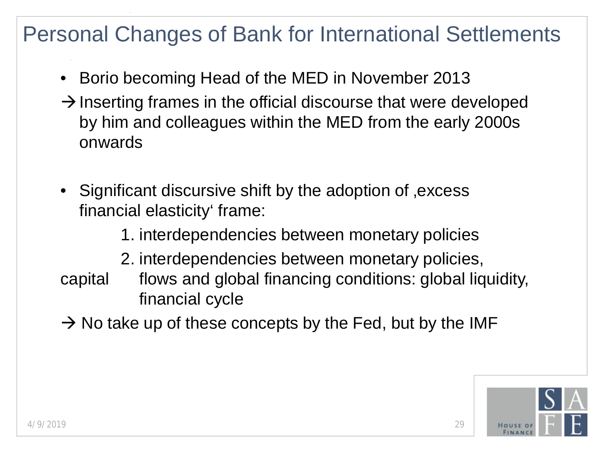#### Personal Changes of Bank for International Settlements

- Borio becoming Head of the MED in November 2013
- $\rightarrow$  Inserting frames in the official discourse that were developed by him and colleagues within the MED from the early 2000s onwards
- Significant discursive shift by the adoption of , excess financial elasticity' frame:

1. interdependencies between monetary policies

- 2. interdependencies between monetary policies,
- capital flows and global financing conditions: global liquidity, financial cycle
- $\rightarrow$  No take up of these concepts by the Fed, but by the IMF

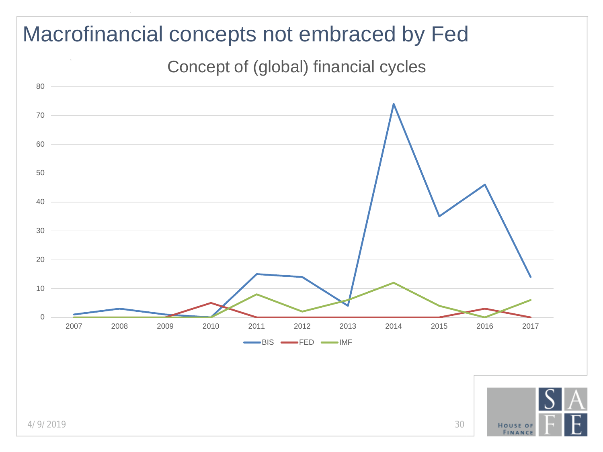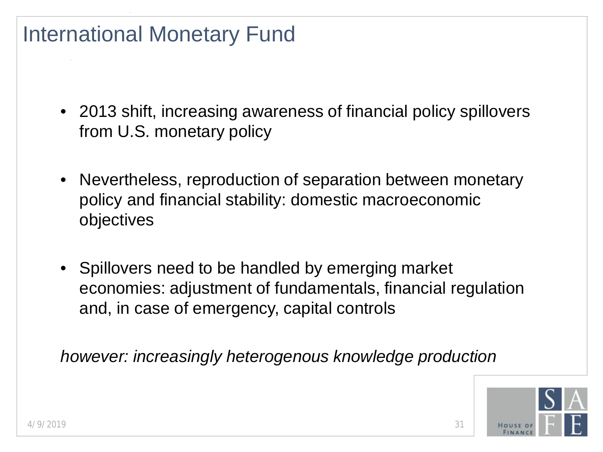#### International Monetary Fund

- 2013 shift, increasing awareness of financial policy spillovers from U.S. monetary policy
- Nevertheless, reproduction of separation between monetary policy and financial stability: domestic macroeconomic objectives
- Spillovers need to be handled by emerging market economies: adjustment of fundamentals, financial regulation and, in case of emergency, capital controls

*however: increasingly heterogenous knowledge production*

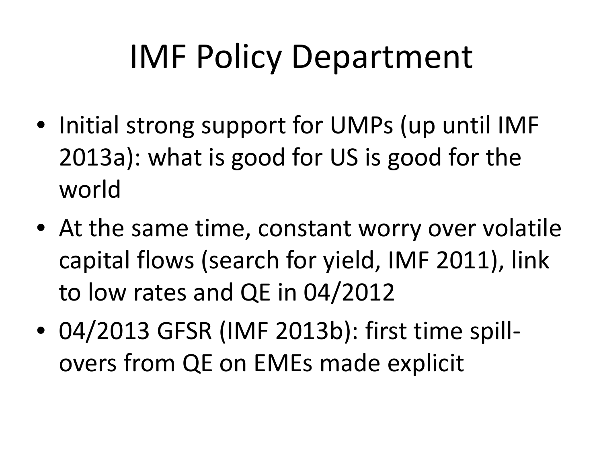### IMF Policy Department

- Initial strong support for UMPs (up until IMF 2013a): what is good for US is good for the world
- At the same time, constant worry over volatile capital flows (search for yield, IMF 2011), link to low rates and QE in 04/2012
- 04/2013 GFSR (IMF 2013b): first time spillovers from QE on EMEs made explicit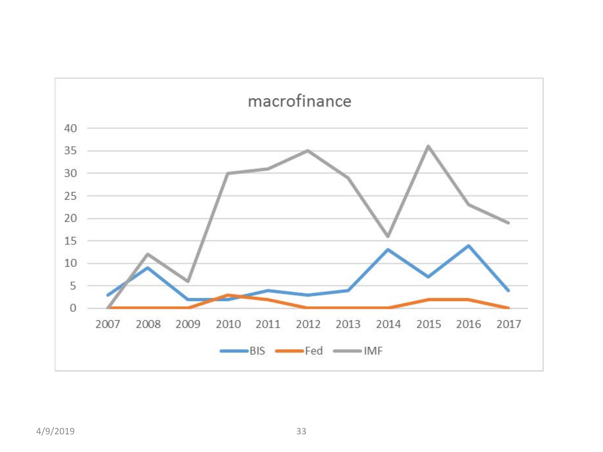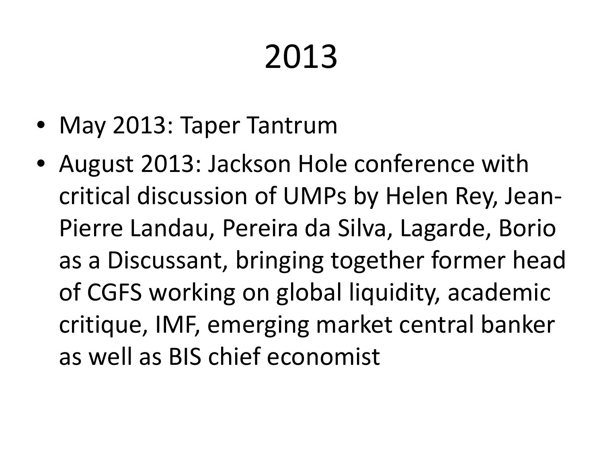# 2013

- May 2013: Taper Tantrum
- August 2013: Jackson Hole conference with critical discussion of UMPs by Helen Rey, Jean-Pierre Landau, Pereira da Silva, Lagarde, Borio as a Discussant, bringing together former head of CGFS working on global liquidity, academic critique, IMF, emerging market central banker as well as BIS chief economist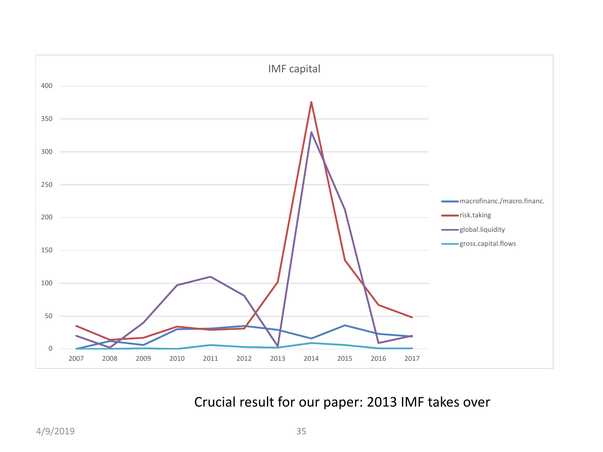

#### Crucial result for our paper: 2013 IMF takes over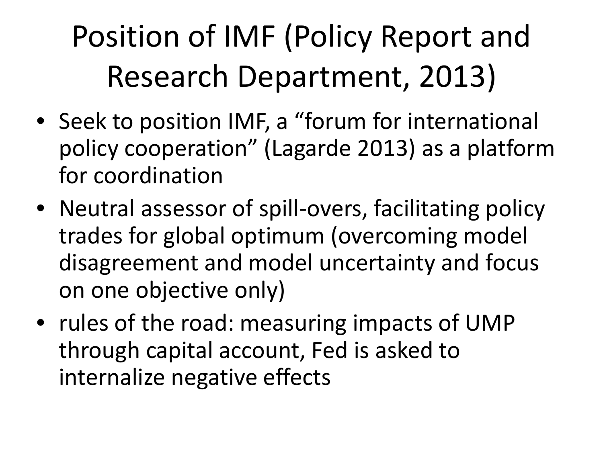### Position of IMF (Policy Report and Research Department, 2013)

- Seek to position IMF, a "forum for international policy cooperation" (Lagarde 2013) as a platform for coordination
- Neutral assessor of spill-overs, facilitating policy trades for global optimum (overcoming model disagreement and model uncertainty and focus on one objective only)
- rules of the road: measuring impacts of UMP through capital account, Fed is asked to internalize negative effects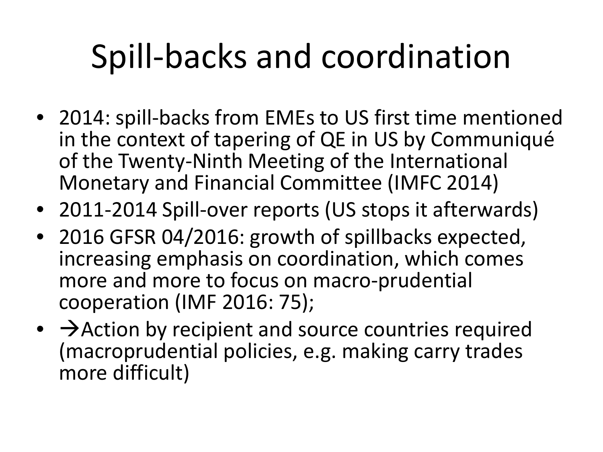### Spill-backs and coordination

- 2014: spill-backs from EMEs to US first time mentioned in the context of tapering of QE in US by Communiqué of the Twenty-Ninth Meeting of the International Monetary and Financial Committee (IMFC 2014)
- 2011-2014 Spill-over reports (US stops it afterwards)
- 2016 GFSR 04/2016: growth of spillbacks expected, increasing emphasis on coordination, which comes more and more to focus on macro-prudential cooperation (IMF 2016: 75);
- $\bullet\ \rightarrow$  Action by recipient and source countries required (macroprudential policies, e.g. making carry trades more difficult)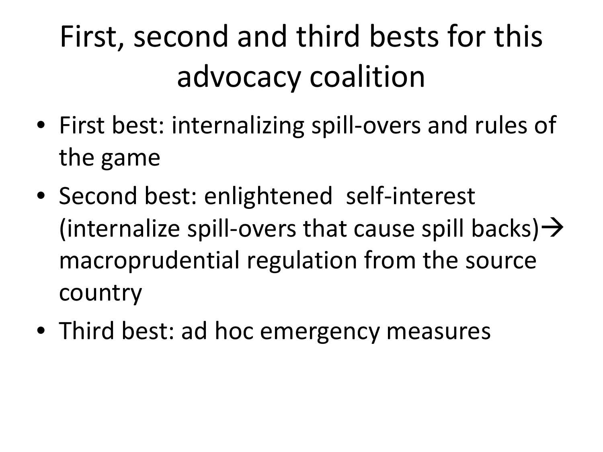### First, second and third bests for this advocacy coalition

- First best: internalizing spill-overs and rules of the game
- Second best: enlightened self-interest (internalize spill-overs that cause spill backs)  $\rightarrow$ macroprudential regulation from the source country
- Third best: ad hoc emergency measures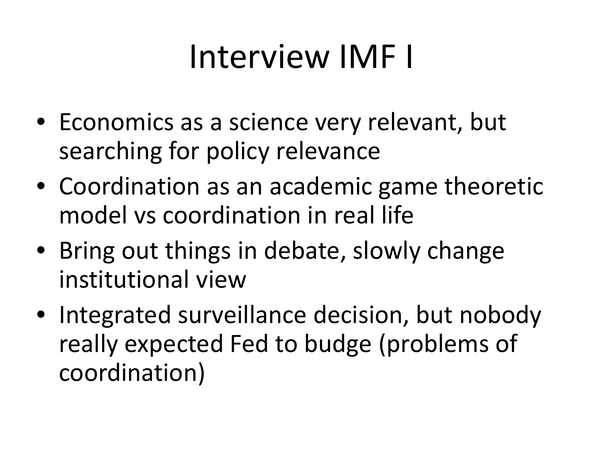### Interview IMF I

- Economics as a science very relevant, but searching for policy relevance
- Coordination as an academic game theoretic model vs coordination in real life
- Bring out things in debate, slowly change institutional view
- Integrated surveillance decision, but nobody really expected Fed to budge (problems of coordination)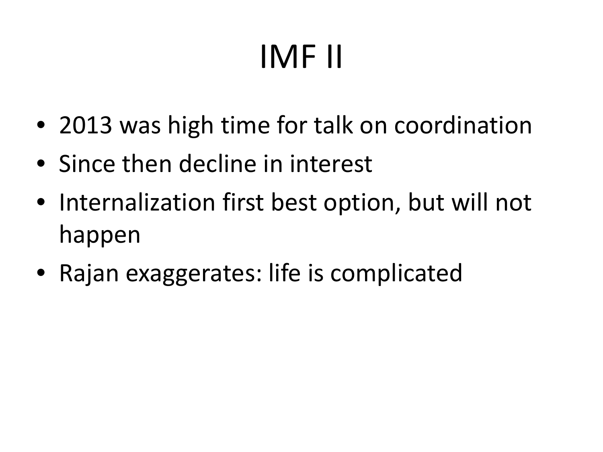# IMF II

- 2013 was high time for talk on coordination
- Since then decline in interest
- Internalization first best option, but will not happen
- Rajan exaggerates: life is complicated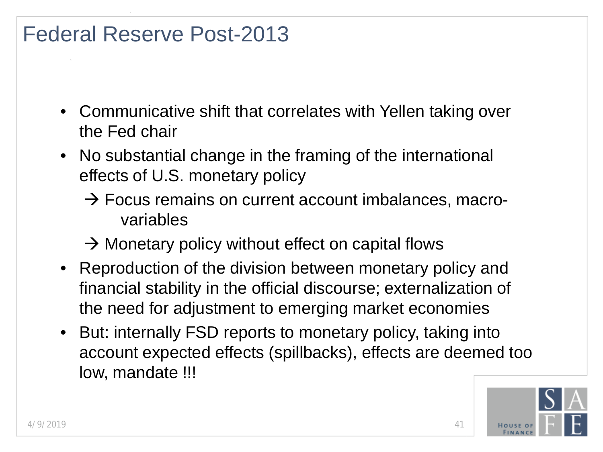#### Federal Reserve Post-2013

- Communicative shift that correlates with Yellen taking over the Fed chair
- No substantial change in the framing of the international effects of U.S. monetary policy
	- $\rightarrow$  Focus remains on current account imbalances, macrovariables
	- $\rightarrow$  Monetary policy without effect on capital flows
- Reproduction of the division between monetary policy and financial stability in the official discourse; externalization of the need for adjustment to emerging market economies
- But: internally FSD reports to monetary policy, taking into account expected effects (spillbacks), effects are deemed too low, mandate !!!

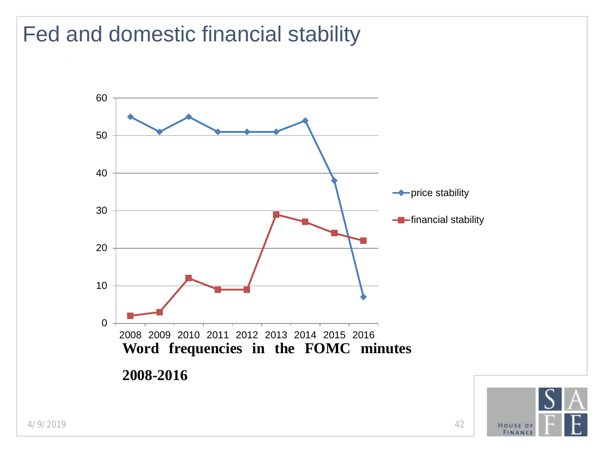#### Fed and domestic financial stability

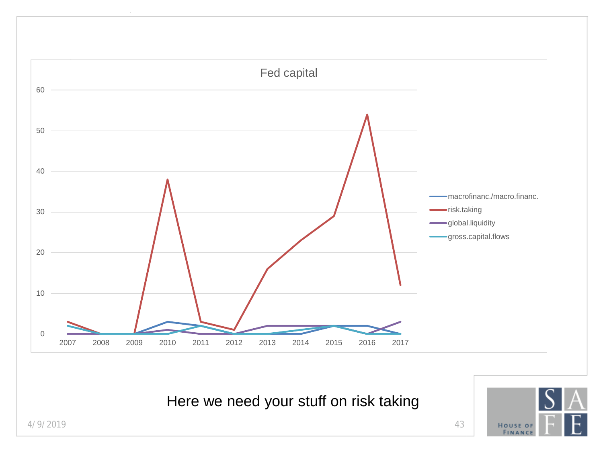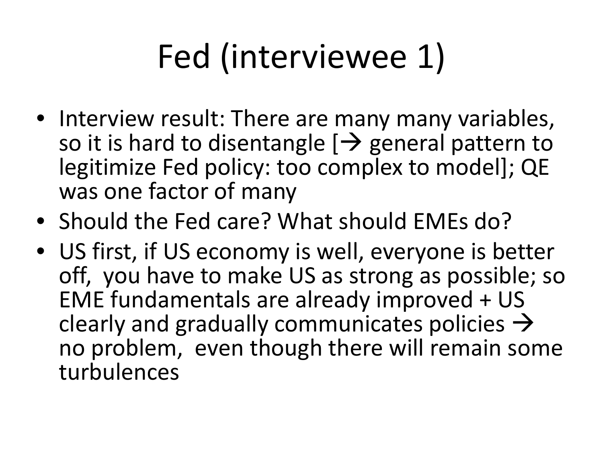## Fed (interviewee 1)

- Interview result: There are many many variables, so it is hard to disentangle  $[\rightarrow]$  general pattern to legitimize Fed policy: too complex to model]; QE was one factor of many
- Should the Fed care? What should EMEs do?
- US first, if US economy is well, everyone is better off, you have to make US as strong as possible; so EME fundamentals are already improved + US clearly and gradually communicates policies  $\rightarrow$ no problem, even though there will remain some turbulences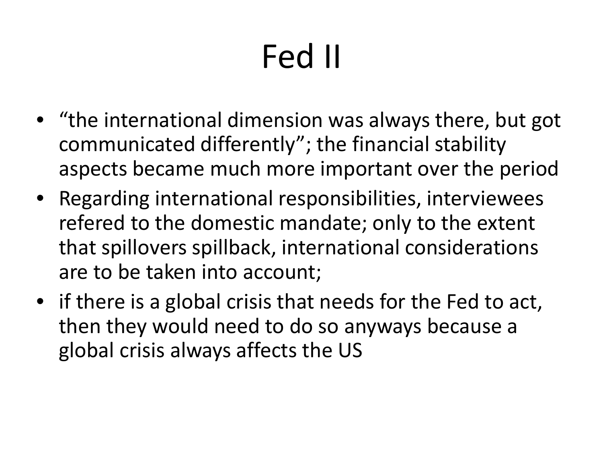# Fed II

- "the international dimension was always there, but got communicated differently"; the financial stability aspects became much more important over the period
- Regarding international responsibilities, interviewees refered to the domestic mandate; only to the extent that spillovers spillback, international considerations are to be taken into account;
- if there is a global crisis that needs for the Fed to act, then they would need to do so anyways because a global crisis always affects the US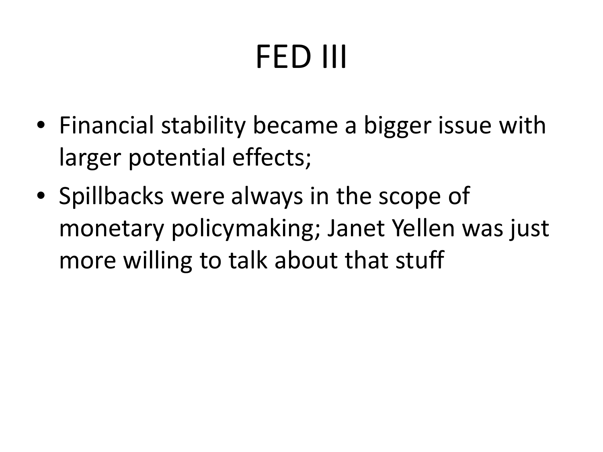# FED III

- Financial stability became a bigger issue with larger potential effects;
- Spillbacks were always in the scope of monetary policymaking; Janet Yellen was just more willing to talk about that stuff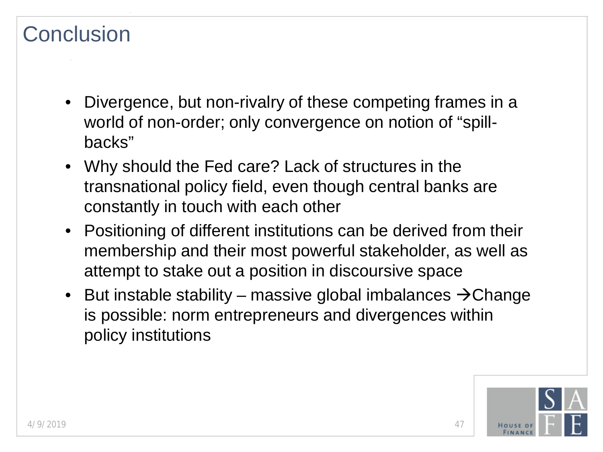#### **Conclusion**

- Divergence, but non-rivalry of these competing frames in a world of non-order; only convergence on notion of "spillbacks"
- Why should the Fed care? Lack of structures in the transnational policy field, even though central banks are constantly in touch with each other
- Positioning of different institutions can be derived from their membership and their most powerful stakeholder, as well as attempt to stake out a position in discoursive space
- But instable stability massive global imbalances  $\rightarrow$  Change is possible: norm entrepreneurs and divergences within policy institutions

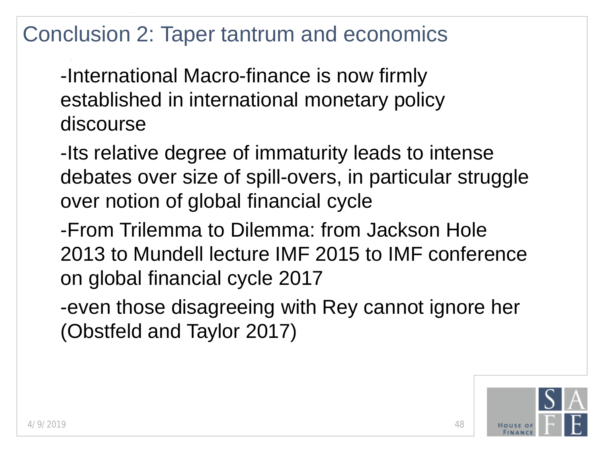#### Conclusion 2: Taper tantrum and economics

-International Macro-finance is now firmly established in international monetary policy discourse

-Its relative degree of immaturity leads to intense debates over size of spill-overs, in particular struggle over notion of global financial cycle

-From Trilemma to Dilemma: from Jackson Hole 2013 to Mundell lecture IMF 2015 to IMF conference on global financial cycle 2017

-even those disagreeing with Rey cannot ignore her (Obstfeld and Taylor 2017)

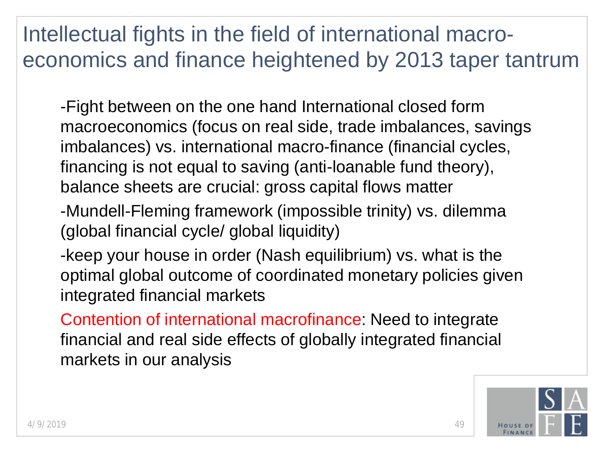### Intellectual fights in the field of international macroeconomics and finance heightened by 2013 taper tantrum

- -Fight between on the one hand International closed form macroeconomics (focus on real side, trade imbalances, savings imbalances) vs. international macro-finance (financial cycles, financing is not equal to saving (anti-loanable fund theory), balance sheets are crucial: gross capital flows matter
- -Mundell-Fleming framework (impossible trinity) vs. dilemma (global financial cycle/ global liquidity)
- -keep your house in order (Nash equilibrium) vs. what is the optimal global outcome of coordinated monetary policies given integrated financial markets
- Contention of international macrofinance: Need to integrate financial and real side effects of globally integrated financial markets in our analysis

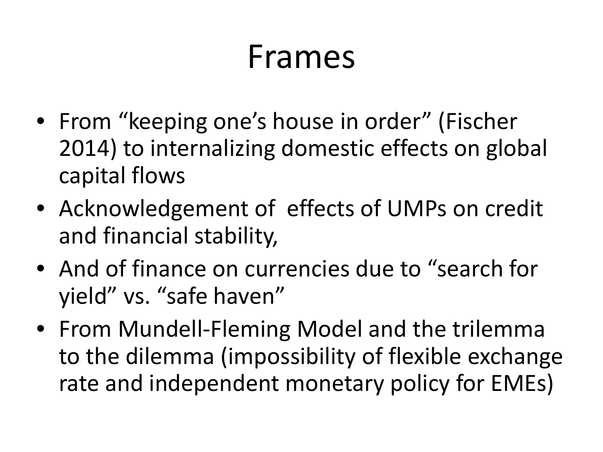### Frames

- From "keeping one's house in order" (Fischer 2014) to internalizing domestic effects on global capital flows
- Acknowledgement of effects of UMPs on credit and financial stability,
- And of finance on currencies due to "search for yield" vs. "safe haven"
- From Mundell-Fleming Model and the trilemma to the dilemma (impossibility of flexible exchange rate and independent monetary policy for EMEs)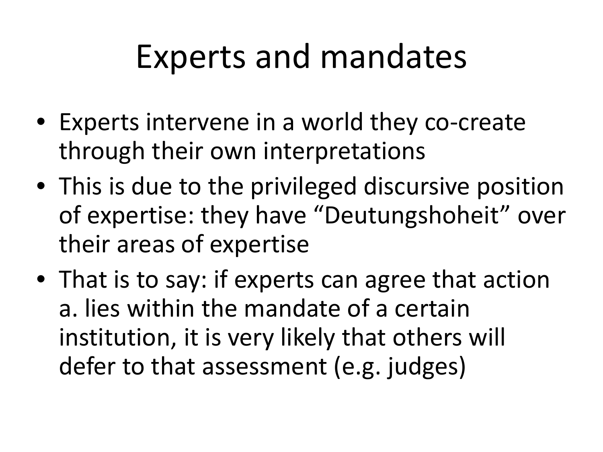### Experts and mandates

- Experts intervene in a world they co-create through their own interpretations
- This is due to the privileged discursive position of expertise: they have "Deutungshoheit" over their areas of expertise
- That is to say: if experts can agree that action a. lies within the mandate of a certain institution, it is very likely that others will defer to that assessment (e.g. judges)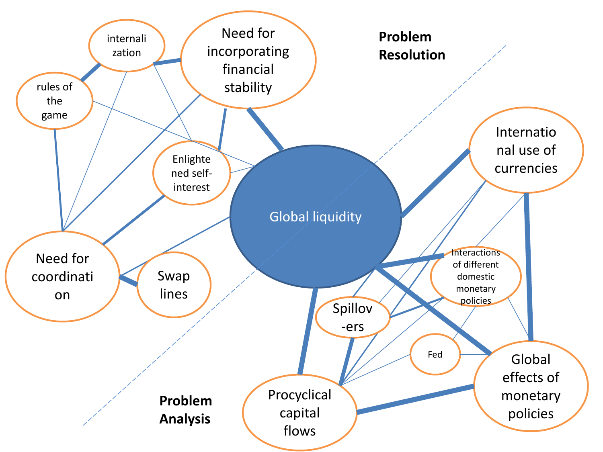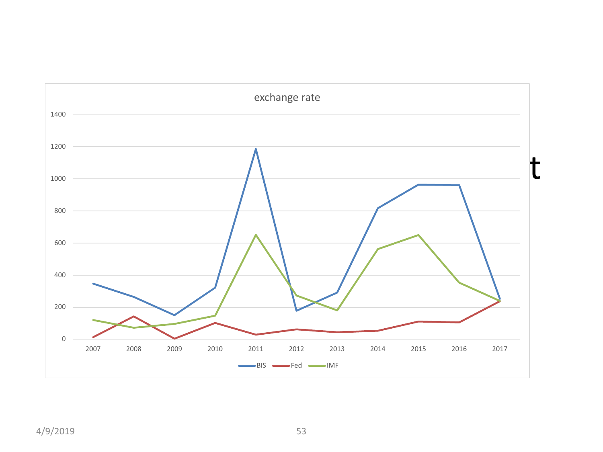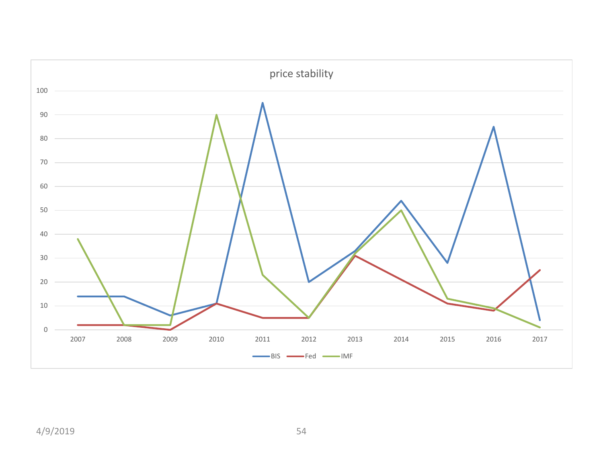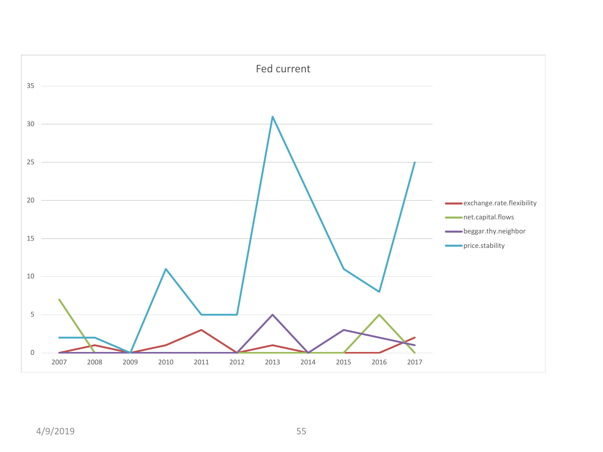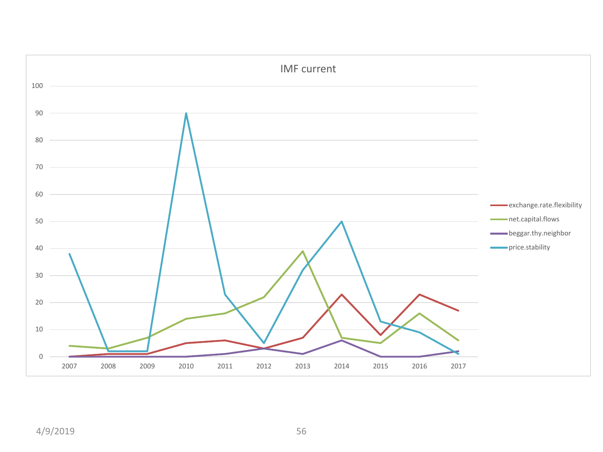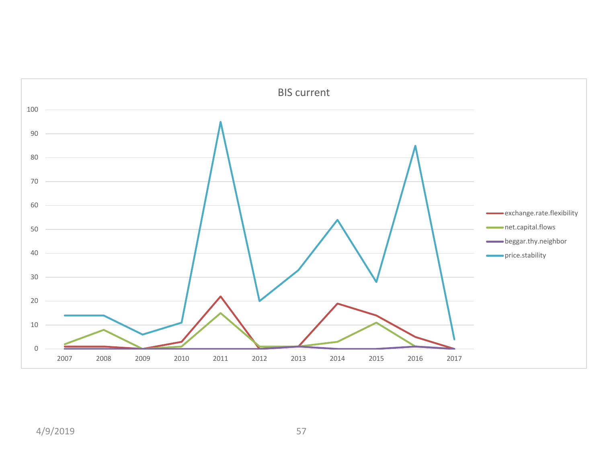